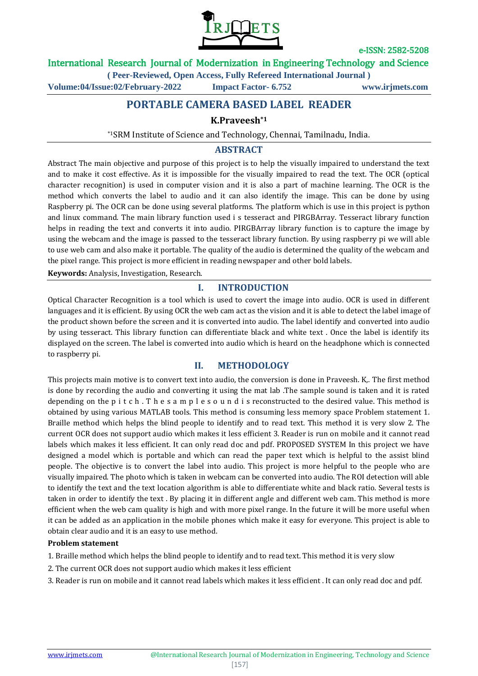

### International Research Journal of Modernization in Engineering Technology and Science

**( Peer-Reviewed, Open Access, Fully Refereed International Journal )**

**Volume:04/Issue:02/February-2022 Impact Factor- 6.752 www.irjmets.com**

# **PORTABLE CAMERA BASED LABEL READER**

### **K.Praveesh\*1**

\*1SRM Institute of Science and Technology, Chennai, Tamilnadu, India.

# **ABSTRACT**

Abstract The main objective and purpose of this project is to help the visually impaired to understand the text and to make it cost effective. As it is impossible for the visually impaired to read the text. The OCR (optical character recognition) is used in computer vision and it is also a part of machine learning. The OCR is the method which converts the label to audio and it can also identify the image. This can be done by using Raspberry pi. The OCR can be done using several platforms. The platform which is use in this project is python and linux command. The main library function used i s tesseract and PIRGBArray. Tesseract library function helps in reading the text and converts it into audio. PIRGBArray library function is to capture the image by using the webcam and the image is passed to the tesseract library function. By using raspberry pi we will able to use web cam and also make it portable. The quality of the audio is determined the quality of the webcam and the pixel range. This project is more efficient in reading newspaper and other bold labels.

**Keywords:** Analysis, Investigation, Research.

### **I. INTRODUCTION**

Optical Character Recognition is a tool which is used to covert the image into audio. OCR is used in different languages and it is efficient. By using OCR the web cam act as the vision and it is able to detect the label image of the product shown before the screen and it is converted into audio. The label identify and converted into audio by using tesseract. This library function can differentiate black and white text . Once the label is identify its displayed on the screen. The label is converted into audio which is heard on the headphone which is connected to raspberry pi.

### **II. METHODOLOGY**

This projects main motive is to convert text into audio, the conversion is done in Praveesh. K,. The first method is done by recording the audio and converting it using the mat lab .The sample sound is taken and it is rated depending on the p i t c h. T h e s a m p l e s o u n d i s reconstructed to the desired value. This method is obtained by using various MATLAB tools. This method is consuming less memory space Problem statement 1. Braille method which helps the blind people to identify and to read text. This method it is very slow 2. The current OCR does not support audio which makes it less efficient 3. Reader is run on mobile and it cannot read labels which makes it less efficient. It can only read doc and pdf. PROPOSED SYSTEM In this project we have designed a model which is portable and which can read the paper text which is helpful to the assist blind people. The objective is to convert the label into audio. This project is more helpful to the people who are visually impaired. The photo which is taken in webcam can be converted into audio. The ROI detection will able to identify the text and the text location algorithm is able to differentiate white and black ratio. Several tests is taken in order to identify the text . By placing it in different angle and different web cam. This method is more efficient when the web cam quality is high and with more pixel range. In the future it will be more useful when it can be added as an application in the mobile phones which make it easy for everyone. This project is able to obtain clear audio and it is an easy to use method.

#### **Problem statement**

1. Braille method which helps the blind people to identify and to read text. This method it is very slow

- 2. The current OCR does not support audio which makes it less efficient
- 3. Reader is run on mobile and it cannot read labels which makes it less efficient . It can only read doc and pdf.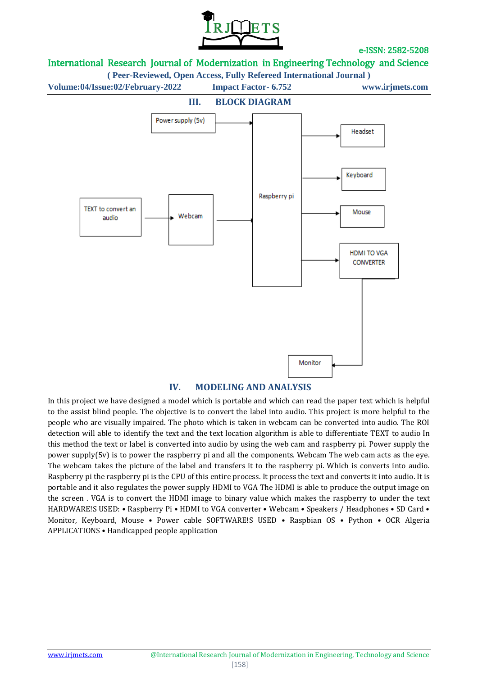

# International Research Journal of Modernization in Engineering Technology and Science

**( Peer-Reviewed, Open Access, Fully Refereed International Journal )**

**Volume:04/Issue:02/February-2022 Impact Factor- 6.752 www.irjmets.com**



# **IV. MODELING AND ANALYSIS**

In this project we have designed a model which is portable and which can read the paper text which is helpful to the assist blind people. The objective is to convert the label into audio. This project is more helpful to the people who are visually impaired. The photo which is taken in webcam can be converted into audio. The ROI detection will able to identify the text and the text location algorithm is able to differentiate TEXT to audio In this method the text or label is converted into audio by using the web cam and raspberry pi. Power supply the power supply(5v) is to power the raspberry pi and all the components. Webcam The web cam acts as the eye. The webcam takes the picture of the label and transfers it to the raspberry pi. Which is converts into audio. Raspberry pi the raspberry pi is the CPU of this entire process. It process the text and converts it into audio. It is portable and it also regulates the power supply HDMI to VGA The HDMI is able to produce the output image on the screen . VGA is to convert the HDMI image to binary value which makes the raspberry to under the text HARDWARE!S USED: • Raspberry Pi • HDMI to VGA converter • Webcam • Speakers / Headphones • SD Card • Monitor, Keyboard, Mouse • Power cable SOFTWARE!S USED • Raspbian OS • Python • OCR Algeria APPLICATIONS • Handicapped people application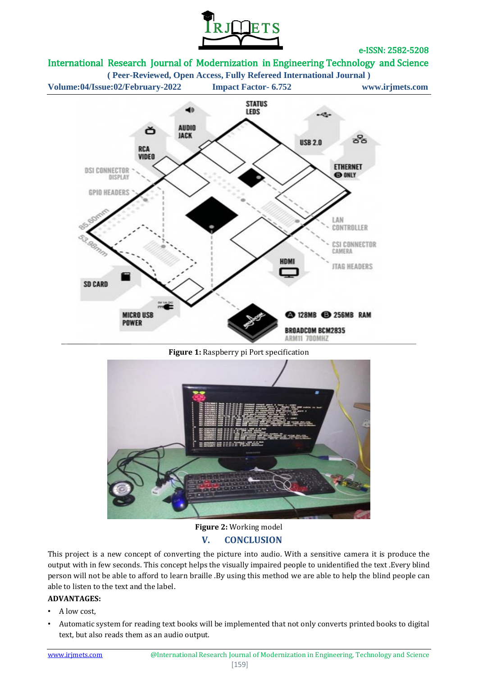

# International Research Journal of Modernization in Engineering Technology and Science

**( Peer-Reviewed, Open Access, Fully Refereed International Journal )**



#### **Figure 1:** Raspberry pi Port specification



# **Figure 2:** Working model **V. CONCLUSION**

This project is a new concept of converting the picture into audio. With a sensitive camera it is produce the output with in few seconds. This concept helps the visually impaired people to unidentified the text .Every blind person will not be able to afford to learn braille .By using this method we are able to help the blind people can able to listen to the text and the label.

### **ADVANTAGES:**

- A low cost,
- Automatic system for reading text books will be implemented that not only converts printed books to digital text, but also reads them as an audio output.